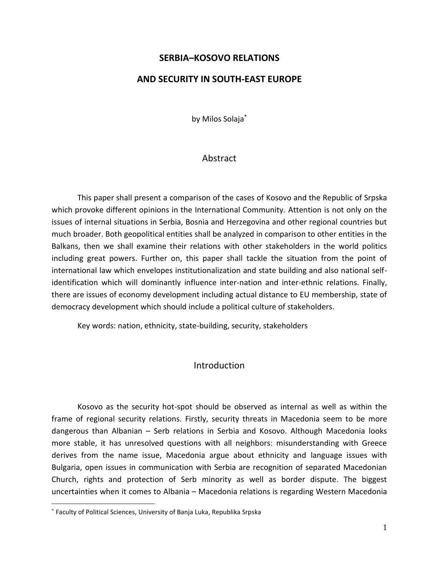### **SERBIA–KOSOVO RELATIONS**

#### **AND SECURITY IN SOUTH-EAST EUROPE**

by Milos Solaja\*

#### Abstract

This paper shall present a comparison of the cases of Kosovo and the Republic of Srpska which provoke different opinions in the International Community. Attention is not only on the issues of internal situations in Serbia, Bosnia and Herzegovina and other regional countries but much broader. Both geopolitical entities shall be analyzed in comparison to other entities in the Balkans, then we shall examine their relations with other stakeholders in the world politics including great powers. Further on, this paper shall tackle the situation from the point of international law which envelopes institutionalization and state building and also national selfidentification which will dominantly influence inter-nation and inter-ethnic relations. Finally, there are issues of economy development including actual distance to EU membership, state of democracy development which should include a political culture of stakeholders.

Key words: nation, ethnicity, state-building, security, stakeholders

#### **Introduction**

Kosovo as the security hot-spot should be observed as internal as well as within the frame of regional security relations. Firstly, security threats in Macedonia seem to be more dangerous than Albanian – Serb relations in Serbia and Kosovo. Although Macedonia looks more stable, it has unresolved questions with all neighbors: misunderstanding with Greece derives from the name issue, Macedonia argue about ethnicity and language issues with Bulgaria, open issues in communication with Serbia are recognition of separated Macedonian Church, rights and protection of Serb minority as well as border dispute. The biggest uncertainties when it comes to Albania – Macedonia relations is regarding Western Macedonia

<sup>\*</sup> Faculty of Political Sciences, University of Banja Luka, Republika Srpska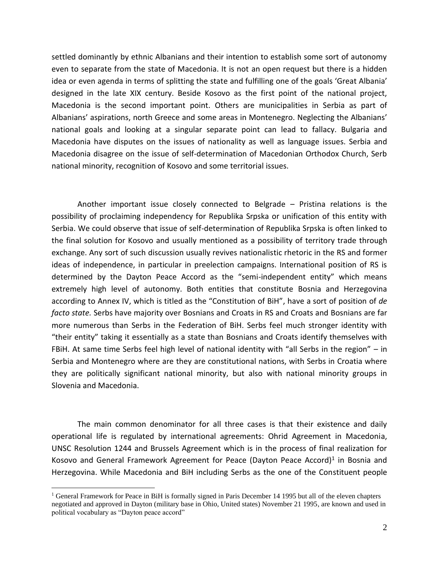settled dominantly by ethnic Albanians and their intention to establish some sort of autonomy even to separate from the state of Macedonia. It is not an open request but there is a hidden idea or even agenda in terms of splitting the state and fulfilling one of the goals 'Great Albania' designed in the late XIX century. Beside Kosovo as the first point of the national project, Macedonia is the second important point. Others are municipalities in Serbia as part of Albanians' aspirations, north Greece and some areas in Montenegro. Neglecting the Albanians' national goals and looking at a singular separate point can lead to fallacy. Bulgaria and Macedonia have disputes on the issues of nationality as well as language issues. Serbia and Macedonia disagree on the issue of self-determination of Macedonian Orthodox Church, Serb national minority, recognition of Kosovo and some territorial issues.

Another important issue closely connected to Belgrade – Pristina relations is the possibility of proclaiming independency for Republika Srpska or unification of this entity with Serbia. We could observe that issue of self-determination of Republika Srpska is often linked to the final solution for Kosovo and usually mentioned as a possibility of territory trade through exchange. Any sort of such discussion usually revives nationalistic rhetoric in the RS and former ideas of independence, in particular in preelection campaigns. International position of RS is determined by the Dayton Peace Accord as the "semi-independent entity" which means extremely high level of autonomy. Both entities that constitute Bosnia and Herzegovina according to Annex IV, which is titled as the "Constitution of BiH", have a sort of position of *de facto state.* Serbs have majority over Bosnians and Croats in RS and Croats and Bosnians are far more numerous than Serbs in the Federation of BiH. Serbs feel much stronger identity with "their entity" taking it essentially as a state than Bosnians and Croats identify themselves with FBiH. At same time Serbs feel high level of national identity with "all Serbs in the region" – in Serbia and Montenegro where are they are constitutional nations, with Serbs in Croatia where they are politically significant national minority, but also with national minority groups in Slovenia and Macedonia.

The main common denominator for all three cases is that their existence and daily operational life is regulated by international agreements: Ohrid Agreement in Macedonia, UNSC Resolution 1244 and Brussels Agreement which is in the process of final realization for Kosovo and General Framework Agreement for Peace (Dayton Peace Accord)<sup>1</sup> in Bosnia and Herzegovina. While Macedonia and BiH including Serbs as the one of the Constituent people

<sup>&</sup>lt;sup>1</sup> General Framework for Peace in BiH is formally signed in Paris December 14 1995 but all of the eleven chapters negotiated and approved in Dayton (military base in Ohio, United states) November 21 1995, are known and used in political vocabulary as "Dayton peace accord"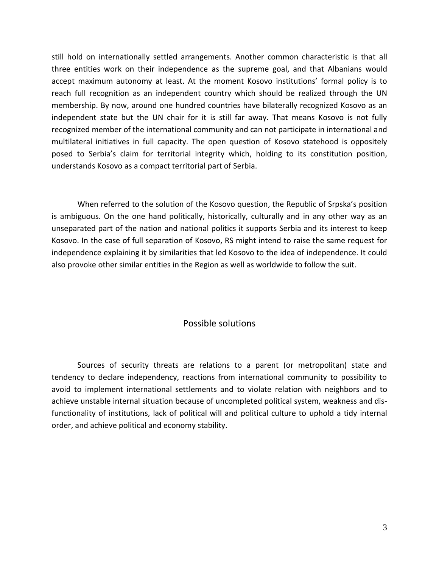still hold on internationally settled arrangements. Another common characteristic is that all three entities work on their independence as the supreme goal, and that Albanians would accept maximum autonomy at least. At the moment Kosovo institutions' formal policy is to reach full recognition as an independent country which should be realized through the UN membership. By now, around one hundred countries have bilaterally recognized Kosovo as an independent state but the UN chair for it is still far away. That means Kosovo is not fully recognized member of the international community and can not participate in international and multilateral initiatives in full capacity. The open question of Kosovo statehood is oppositely posed to Serbia's claim for territorial integrity which, holding to its constitution position, understands Kosovo as a compact territorial part of Serbia.

When referred to the solution of the Kosovo question, the Republic of Srpska's position is ambiguous. On the one hand politically, historically, culturally and in any other way as an unseparated part of the nation and national politics it supports Serbia and its interest to keep Kosovo. In the case of full separation of Kosovo, RS might intend to raise the same request for independence explaining it by similarities that led Kosovo to the idea of independence. It could also provoke other similar entities in the Region as well as worldwide to follow the suit.

## Possible solutions

Sources of security threats are relations to a parent (or metropolitan) state and tendency to declare independency, reactions from international community to possibility to avoid to implement international settlements and to violate relation with neighbors and to achieve unstable internal situation because of uncompleted political system, weakness and disfunctionality of institutions, lack of political will and political culture to uphold a tidy internal order, and achieve political and economy stability.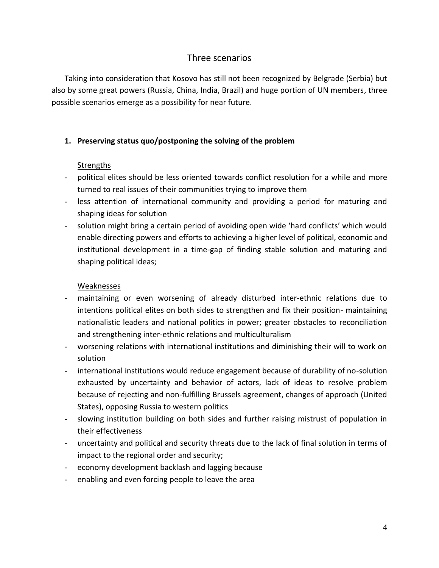# Three scenarios

Taking into consideration that Kosovo has still not been recognized by Belgrade (Serbia) but also by some great powers (Russia, China, India, Brazil) and huge portion of UN members, three possible scenarios emerge as a possibility for near future.

## **1. Preserving status quo/postponing the solving of the problem**

## Strengths

- political elites should be less oriented towards conflict resolution for a while and more turned to real issues of their communities trying to improve them
- less attention of international community and providing a period for maturing and shaping ideas for solution
- solution might bring a certain period of avoiding open wide 'hard conflicts' which would enable directing powers and efforts to achieving a higher level of political, economic and institutional development in a time-gap of finding stable solution and maturing and shaping political ideas;

### Weaknesses

- maintaining or even worsening of already disturbed inter-ethnic relations due to intentions political elites on both sides to strengthen and fix their position- maintaining nationalistic leaders and national politics in power; greater obstacles to reconciliation and strengthening inter-ethnic relations and multiculturalism
- worsening relations with international institutions and diminishing their will to work on solution
- international institutions would reduce engagement because of durability of no-solution exhausted by uncertainty and behavior of actors, lack of ideas to resolve problem because of rejecting and non-fulfilling Brussels agreement, changes of approach (United States), opposing Russia to western politics
- slowing institution building on both sides and further raising mistrust of population in their effectiveness
- uncertainty and political and security threats due to the lack of final solution in terms of impact to the regional order and security;
- economy development backlash and lagging because
- enabling and even forcing people to leave the area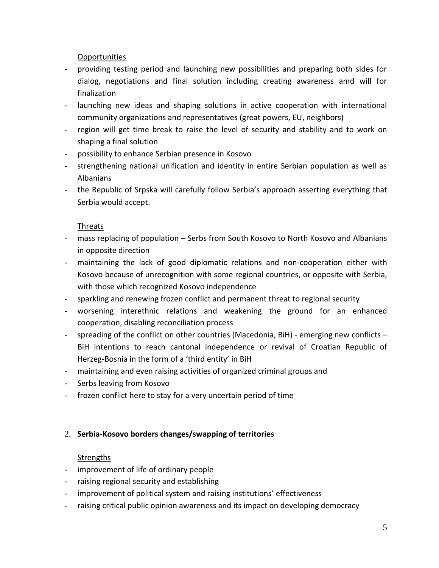Opportunities

- providing testing period and launching new possibilities and preparing both sides for dialog, negotiations and final solution including creating awareness amd will for finalization
- launching new ideas and shaping solutions in active cooperation with international community organizations and representatives (great powers, EU, neighbors)
- region will get time break to raise the level of security and stability and to work on shaping a final solution
- possibility to enhance Serbian presence in Kosovo
- strengthening national unification and identity in entire Serbian population as well as Albanians
- the Republic of Srpska will carefully follow Serbia's approach asserting everything that Serbia would accept.

### Threats

- mass replacing of population Serbs from South Kosovo to North Kosovo and Albanians in opposite direction
- maintaining the lack of good diplomatic relations and non-cooperation either with Kosovo because of unrecognition with some regional countries, or opposite with Serbia, with those which recognized Kosovo independence
- sparkling and renewing frozen conflict and permanent threat to regional security
- worsening interethnic relations and weakening the ground for an enhanced cooperation, disabling reconciliation process
- spreading of the conflict on other countries (Macedonia, BiH) emerging new conflicts BiH intentions to reach cantonal independence or revival of Croatian Republic of Herzeg-Bosnia in the form of a 'third entity' in BiH
- maintaining and even raising activities of organized criminal groups and
- Serbs leaving from Kosovo
- frozen conflict here to stay for a very uncertain period of time

# 2. **Serbia-Kosovo borders changes/swapping of territories**

### **Strengths**

- improvement of life of ordinary people
- raising regional security and establishing
- improvement of political system and raising institutions' effectiveness
- raising critical public opinion awareness and its impact on developing democracy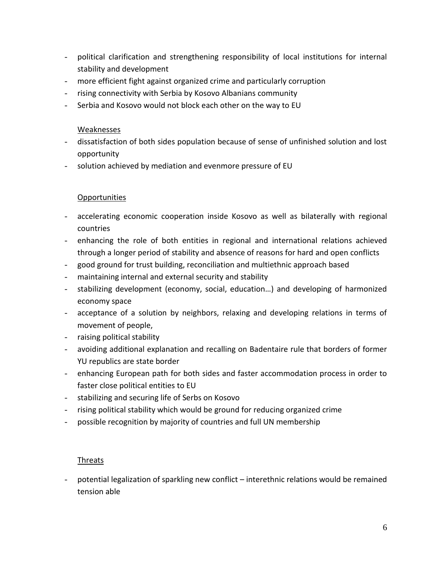- political clarification and strengthening responsibility of local institutions for internal stability and development
- more efficient fight against organized crime and particularly corruption
- rising connectivity with Serbia by Kosovo Albanians community
- Serbia and Kosovo would not block each other on the way to EU

#### Weaknesses

- dissatisfaction of both sides population because of sense of unfinished solution and lost opportunity
- solution achieved by mediation and evenmore pressure of EU

### Opportunities

- accelerating economic cooperation inside Kosovo as well as bilaterally with regional countries
- enhancing the role of both entities in regional and international relations achieved through a longer period of stability and absence of reasons for hard and open conflicts
- good ground for trust building, reconciliation and multiethnic approach based
- maintaining internal and external security and stability
- stabilizing development (economy, social, education…) and developing of harmonized economy space
- acceptance of a solution by neighbors, relaxing and developing relations in terms of movement of people,
- raising political stability
- avoiding additional explanation and recalling on Badentaire rule that borders of former YU republics are state border
- enhancing European path for both sides and faster accommodation process in order to faster close political entities to EU
- stabilizing and securing life of Serbs on Kosovo
- rising political stability which would be ground for reducing organized crime
- possible recognition by majority of countries and full UN membership

### Threats

- potential legalization of sparkling new conflict – interethnic relations would be remained tension able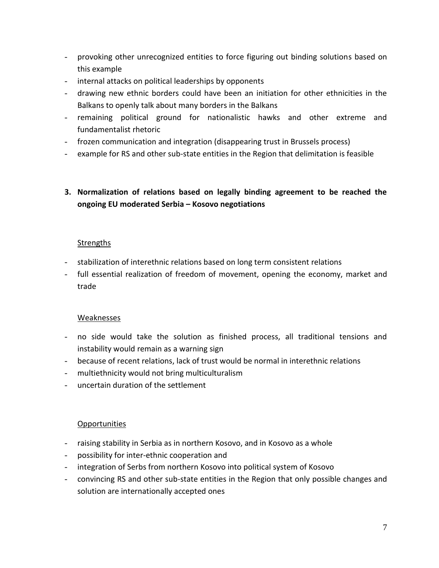- provoking other unrecognized entities to force figuring out binding solutions based on this example
- internal attacks on political leaderships by opponents
- drawing new ethnic borders could have been an initiation for other ethnicities in the Balkans to openly talk about many borders in the Balkans
- remaining political ground for nationalistic hawks and other extreme and fundamentalist rhetoric
- frozen communication and integration (disappearing trust in Brussels process)
- example for RS and other sub-state entities in the Region that delimitation is feasible

# **3. Normalization of relations based on legally binding agreement to be reached the ongoing EU moderated Serbia – Kosovo negotiations**

#### **Strengths**

- stabilization of interethnic relations based on long term consistent relations
- full essential realization of freedom of movement, opening the economy, market and trade

#### Weaknesses

- no side would take the solution as finished process, all traditional tensions and instability would remain as a warning sign
- because of recent relations, lack of trust would be normal in interethnic relations
- multiethnicity would not bring multiculturalism
- uncertain duration of the settlement

#### **Opportunities**

- raising stability in Serbia as in northern Kosovo, and in Kosovo as a whole
- possibility for inter-ethnic cooperation and
- integration of Serbs from northern Kosovo into political system of Kosovo
- convincing RS and other sub-state entities in the Region that only possible changes and solution are internationally accepted ones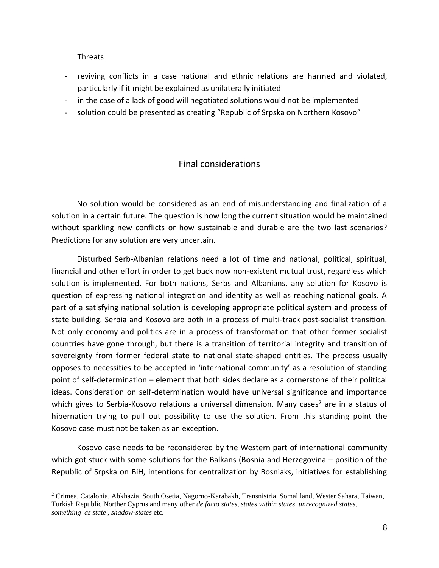#### Threats

- reviving conflicts in a case national and ethnic relations are harmed and violated, particularly if it might be explained as unilaterally initiated
- in the case of a lack of good will negotiated solutions would not be implemented
- solution could be presented as creating "Republic of Srpska on Northern Kosovo"

## Final considerations

No solution would be considered as an end of misunderstanding and finalization of a solution in a certain future. The question is how long the current situation would be maintained without sparkling new conflicts or how sustainable and durable are the two last scenarios? Predictions for any solution are very uncertain.

Disturbed Serb-Albanian relations need a lot of time and national, political, spiritual, financial and other effort in order to get back now non-existent mutual trust, regardless which solution is implemented. For both nations, Serbs and Albanians, any solution for Kosovo is question of expressing national integration and identity as well as reaching national goals. A part of a satisfying national solution is developing appropriate political system and process of state building. Serbia and Kosovo are both in a process of multi-track post-socialist transition. Not only economy and politics are in a process of transformation that other former socialist countries have gone through, but there is a transition of territorial integrity and transition of sovereignty from former federal state to national state-shaped entities. The process usually opposes to necessities to be accepted in 'international community' as a resolution of standing point of self-determination – element that both sides declare as a cornerstone of their political ideas. Consideration on self-determination would have universal significance and importance which gives to Serbia-Kosovo relations a universal dimension. Many cases<sup>2</sup> are in a status of hibernation trying to pull out possibility to use the solution. From this standing point the Kosovo case must not be taken as an exception.

Kosovo case needs to be reconsidered by the Western part of international community which got stuck with some solutions for the Balkans (Bosnia and Herzegovina – position of the Republic of Srpska on BiH, intentions for centralization by Bosniaks, initiatives for establishing

<sup>2</sup> Crimea, Catalonia, Abkhazia, South Osetia, Nagorno-Karabakh, Transnistria, Somaliland, Wester Sahara, Taiwan, Turkish Republic Norther Cyprus and many other *de facto states, states within states, unrecognized states, something 'as state', shadow-states* etc.